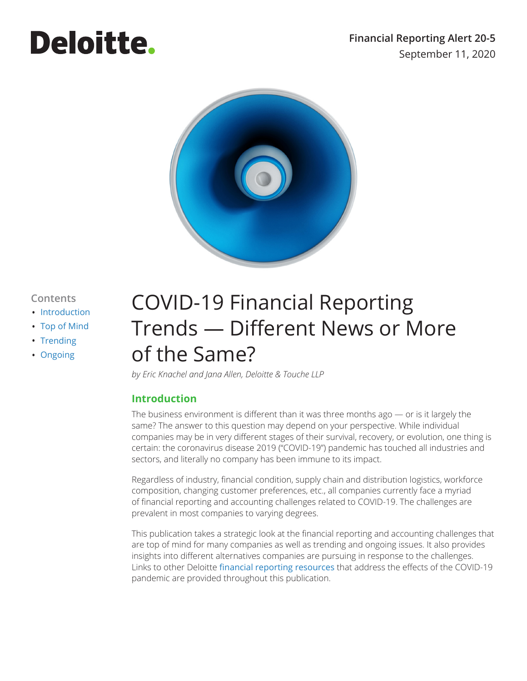# **Deloitte.**



#### **Contents**

- [Introduction](#page-0-0)
- [Top of Mind](#page-1-0)
- [Trending](#page-3-0)
- [Ongoing](#page-5-0)

# COVID-19 Financial Reporting Trends — Different News or More of the Same?

*by Eric Knachel and Jana Allen, Deloitte & Touche LLP*

## <span id="page-0-0"></span>**Introduction**

The business environment is different than it was three months ago  $-$  or is it largely the same? The answer to this question may depend on your perspective. While individual companies may be in very different stages of their survival, recovery, or evolution, one thing is certain: the coronavirus disease 2019 ("COVID-19") pandemic has touched all industries and sectors, and literally no company has been immune to its impact.

Regardless of industry, financial condition, supply chain and distribution logistics, workforce composition, changing customer preferences, etc., all companies currently face a myriad of financial reporting and accounting challenges related to COVID-19. The challenges are prevalent in most companies to varying degrees.

This publication takes a strategic look at the financial reporting and accounting challenges that are top of mind for many companies as well as trending and ongoing issues. It also provides insights into different alternatives companies are pursuing in response to the challenges. Links to other Deloitte [financial reporting resources](https://dart.deloitte.com/USDART/home/publications/deloitte/covid-19) that address the effects of the COVID-19 pandemic are provided throughout this publication.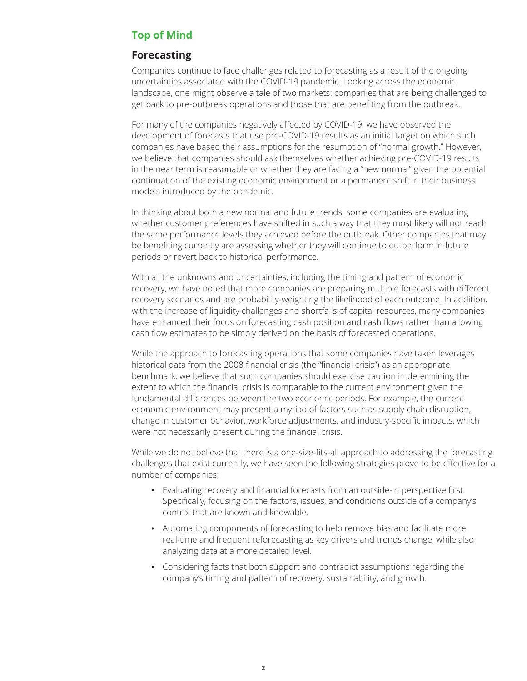# <span id="page-1-0"></span>**Top of Mind**

#### **Forecasting**

Companies continue to face challenges related to forecasting as a result of the ongoing uncertainties associated with the COVID-19 pandemic. Looking across the economic landscape, one might observe a tale of two markets: companies that are being challenged to get back to pre-outbreak operations and those that are benefiting from the outbreak.

For many of the companies negatively affected by COVID-19, we have observed the development of forecasts that use pre-COVID-19 results as an initial target on which such companies have based their assumptions for the resumption of "normal growth." However, we believe that companies should ask themselves whether achieving pre-COVID-19 results in the near term is reasonable or whether they are facing a "new normal" given the potential continuation of the existing economic environment or a permanent shift in their business models introduced by the pandemic.

In thinking about both a new normal and future trends, some companies are evaluating whether customer preferences have shifted in such a way that they most likely will not reach the same performance levels they achieved before the outbreak. Other companies that may be benefiting currently are assessing whether they will continue to outperform in future periods or revert back to historical performance.

With all the unknowns and uncertainties, including the timing and pattern of economic recovery, we have noted that more companies are preparing multiple forecasts with different recovery scenarios and are probability-weighting the likelihood of each outcome. In addition, with the increase of liquidity challenges and shortfalls of capital resources, many companies have enhanced their focus on forecasting cash position and cash flows rather than allowing cash flow estimates to be simply derived on the basis of forecasted operations.

While the approach to forecasting operations that some companies have taken leverages historical data from the 2008 financial crisis (the "financial crisis") as an appropriate benchmark, we believe that such companies should exercise caution in determining the extent to which the financial crisis is comparable to the current environment given the fundamental differences between the two economic periods. For example, the current economic environment may present a myriad of factors such as supply chain disruption, change in customer behavior, workforce adjustments, and industry-specific impacts, which were not necessarily present during the financial crisis.

While we do not believe that there is a one-size-fits-all approach to addressing the forecasting challenges that exist currently, we have seen the following strategies prove to be effective for a number of companies:

- Evaluating recovery and financial forecasts from an outside-in perspective first. Specifically, focusing on the factors, issues, and conditions outside of a company's control that are known and knowable.
- Automating components of forecasting to help remove bias and facilitate more real-time and frequent reforecasting as key drivers and trends change, while also analyzing data at a more detailed level.
- Considering facts that both support and contradict assumptions regarding the company's timing and pattern of recovery, sustainability, and growth.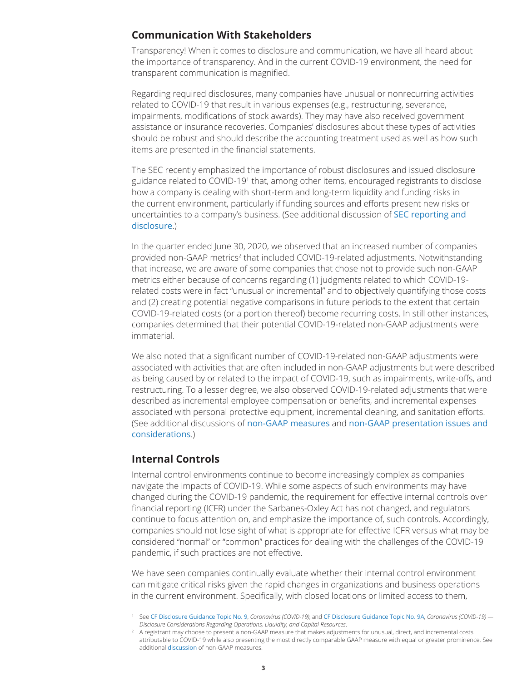#### **Communication With Stakeholders**

Transparency! When it comes to disclosure and communication, we have all heard about the importance of transparency. And in the current COVID-19 environment, the need for transparent communication is magnified.

Regarding required disclosures, many companies have unusual or nonrecurring activities related to COVID-19 that result in various expenses (e.g., restructuring, severance, impairments, modifications of stock awards). They may have also received government assistance or insurance recoveries. Companies' disclosures about these types of activities should be robust and should describe the accounting treatment used as well as how such items are presented in the financial statements.

The SEC recently emphasized the importance of robust disclosures and issued disclosure guidance related to COVID-191 that, among other items, encouraged registrants to disclose how a company is dealing with short-term and long-term liquidity and funding risks in the current environment, particularly if funding sources and efforts present new risks or uncertainties to a company's business. (See additional discussion of [SEC reporting and](https://dart.deloitte.com/USDART/home/publications/deloitte/financial-reporting-alerts/2020/financial-reporting-considerations-economic-downturn-covid#SL630880090-519762)  [disclosure](https://dart.deloitte.com/USDART/home/publications/deloitte/financial-reporting-alerts/2020/financial-reporting-considerations-economic-downturn-covid#SL630880090-519762).)

In the quarter ended June 30, 2020, we observed that an increased number of companies provided non-GAAP metrics<sup>2</sup> that included COVID-19-related adjustments. Notwithstanding that increase, we are aware of some companies that chose not to provide such non-GAAP metrics either because of concerns regarding (1) judgments related to which COVID-19 related costs were in fact "unusual or incremental" and to objectively quantifying those costs and (2) creating potential negative comparisons in future periods to the extent that certain COVID-19-related costs (or a portion thereof) become recurring costs. In still other instances, companies determined that their potential COVID-19-related non-GAAP adjustments were immaterial.

We also noted that a significant number of COVID-19-related non-GAAP adjustments were associated with activities that are often included in non-GAAP adjustments but were described as being caused by or related to the impact of COVID-19, such as impairments, write-offs, and restructuring. To a lesser degree, we also observed COVID-19-related adjustments that were described as incremental employee compensation or benefits, and incremental expenses associated with personal protective equipment, incremental cleaning, and sanitation efforts. (See additional discussions of [non-GAAP measures](https://dart.deloitte.com/USDART/home/publications/deloitte/financial-reporting-alerts/2020/non-gaap-measures-covid-19) and [non-GAAP presentation issues and](https://dart.deloitte.com/USDART/home/publications/deloitte/financial-reporting-alerts/2020/financial-reporting-considerations-economic-downturn-covid#SL630880108-519762)  [considerations](https://dart.deloitte.com/USDART/home/publications/deloitte/financial-reporting-alerts/2020/financial-reporting-considerations-economic-downturn-covid#SL630880108-519762).)

#### **Internal Controls**

Internal control environments continue to become increasingly complex as companies navigate the impacts of COVID-19. While some aspects of such environments may have changed during the COVID-19 pandemic, the requirement for effective internal controls over financial reporting (ICFR) under the Sarbanes-Oxley Act has not changed, and regulators continue to focus attention on, and emphasize the importance of, such controls. Accordingly, companies should not lose sight of what is appropriate for effective ICFR versus what may be considered "normal" or "common" practices for dealing with the challenges of the COVID-19 pandemic, if such practices are not effective.

We have seen companies continually evaluate whether their internal control environment can mitigate critical risks given the rapid changes in organizations and business operations in the current environment. Specifically, with closed locations or limited access to them,

<sup>1</sup> See [CF Disclosure Guidance Topic No. 9](https://dart.deloitte.com/USDART/home/accounting/sec/sec-material-supplement/division-corporation-finance-disclosure-guidance/topic-no-9-coronavirus-covid-19), *Coronavirus (COVID-19)*, and [CF Disclosure Guidance Topic No. 9A](https://dart.deloitte.com/USDART/home/accounting/sec/sec-material-supplement/division-corporation-finance-disclosure-guidance/topic-9a), *Coronavirus (COVID-19) — Disclosure Considerations Regarding Operations, Liquidity, and Capital Resources*.

<sup>&</sup>lt;sup>2</sup> A registrant may choose to present a non-GAAP measure that makes adjustments for unusual, direct, and incremental costs attributable to COVID-19 while also presenting the most directly comparable GAAP measure with equal or greater prominence. See additional [discussion](https://dart.deloitte.com/USDART/home/publications/deloitte/financial-reporting-alerts/2020/financial-reporting-considerations-economic-downturn-covid#SL630880108-519762) of non-GAAP measures.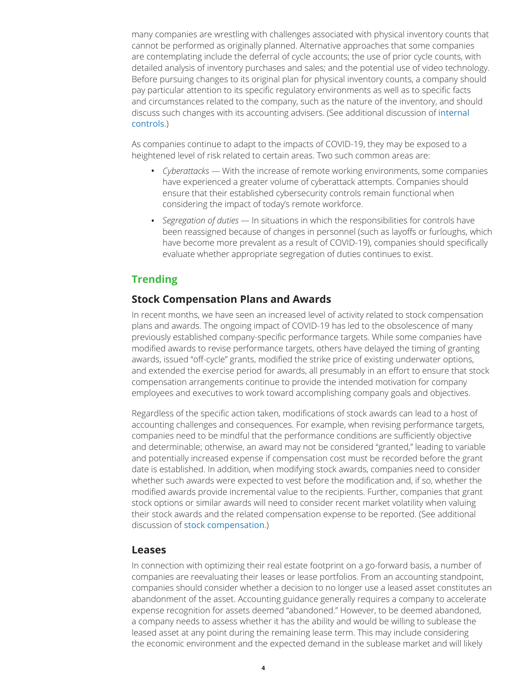many companies are wrestling with challenges associated with physical inventory counts that cannot be performed as originally planned. Alternative approaches that some companies are contemplating include the deferral of cycle accounts; the use of prior cycle counts, with detailed analysis of inventory purchases and sales; and the potential use of video technology. Before pursuing changes to its original plan for physical inventory counts, a company should pay particular attention to its specific regulatory environments as well as to specific facts and circumstances related to the company, such as the nature of the inventory, and should discuss such changes with its accounting advisers. (See additional discussion of [internal](https://www2.deloitte.com/content/dam/Deloitte/in/Documents/tax/in-tax-reacting-to-covid-19-in-internal-control-over-financial-reporting-noexp.pdf)  [controls](https://www2.deloitte.com/content/dam/Deloitte/in/Documents/tax/in-tax-reacting-to-covid-19-in-internal-control-over-financial-reporting-noexp.pdf).)

As companies continue to adapt to the impacts of COVID-19, they may be exposed to a heightened level of risk related to certain areas. Two such common areas are:

- *Cyberattacks*  With the increase of remote working environments, some companies have experienced a greater volume of cyberattack attempts. Companies should ensure that their established cybersecurity controls remain functional when considering the impact of today's remote workforce.
- *Segregation of duties* In situations in which the responsibilities for controls have been reassigned because of changes in personnel (such as layoffs or furloughs, which have become more prevalent as a result of COVID-19), companies should specifically evaluate whether appropriate segregation of duties continues to exist.

# <span id="page-3-0"></span>**Trending**

#### **Stock Compensation Plans and Awards**

In recent months, we have seen an increased level of activity related to stock compensation plans and awards. The ongoing impact of COVID-19 has led to the obsolescence of many previously established company-specific performance targets. While some companies have modified awards to revise performance targets, others have delayed the timing of granting awards, issued "off-cycle" grants, modified the strike price of existing underwater options, and extended the exercise period for awards, all presumably in an effort to ensure that stock compensation arrangements continue to provide the intended motivation for company employees and executives to work toward accomplishing company goals and objectives.

Regardless of the specific action taken, modifications of stock awards can lead to a host of accounting challenges and consequences. For example, when revising performance targets, companies need to be mindful that the performance conditions are sufficiently objective and determinable; otherwise, an award may not be considered "granted," leading to variable and potentially increased expense if compensation cost must be recorded before the grant date is established. In addition, when modifying stock awards, companies need to consider whether such awards were expected to vest before the modification and, if so, whether the modified awards provide incremental value to the recipients. Further, companies that grant stock options or similar awards will need to consider recent market volatility when valuing their stock awards and the related compensation expense to be reported. (See additional discussion of [stock compensation](https://dart.deloitte.com/USDART/home/publications/deloitte/financial-reporting-alerts/2020/financial-reporting-considerations-economic-downturn-covid#SL630882343-519762).)

#### **Leases**

In connection with optimizing their real estate footprint on a go-forward basis, a number of companies are reevaluating their leases or lease portfolios. From an accounting standpoint, companies should consider whether a decision to no longer use a leased asset constitutes an abandonment of the asset. Accounting guidance generally requires a company to accelerate expense recognition for assets deemed "abandoned." However, to be deemed abandoned, a company needs to assess whether it has the ability and would be willing to sublease the leased asset at any point during the remaining lease term. This may include considering the economic environment and the expected demand in the sublease market and will likely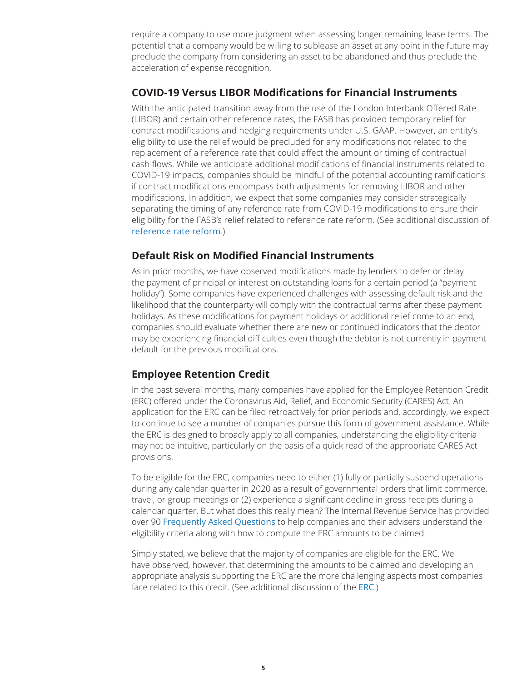require a company to use more judgment when assessing longer remaining lease terms. The potential that a company would be willing to sublease an asset at any point in the future may preclude the company from considering an asset to be abandoned and thus preclude the acceleration of expense recognition.

#### **COVID-19 Versus LIBOR Modifications for Financial Instruments**

With the anticipated transition away from the use of the London Interbank Offered Rate (LIBOR) and certain other reference rates, the FASB has provided temporary relief for contract modifications and hedging requirements under U.S. GAAP. However, an entity's eligibility to use the relief would be precluded for any modifications not related to the replacement of a reference rate that could affect the amount or timing of contractual cash flows. While we anticipate additional modifications of financial instruments related to COVID-19 impacts, companies should be mindful of the potential accounting ramifications if contract modifications encompass both adjustments for removing LIBOR and other modifications. In addition, we expect that some companies may consider strategically separating the timing of any reference rate from COVID-19 modifications to ensure their eligibility for the FASB's relief related to reference rate reform. (See additional discussion of [reference rate reform](https://dart.deloitte.com/USDART/home/publications/deloitte/heads-up/2020/fasb-reference-rate-reform).)

#### **Default Risk on Modified Financial Instruments**

As in prior months, we have observed modifications made by lenders to defer or delay the payment of principal or interest on outstanding loans for a certain period (a "payment holiday"). Some companies have experienced challenges with assessing default risk and the likelihood that the counterparty will comply with the contractual terms after these payment holidays. As these modifications for payment holidays or additional relief come to an end, companies should evaluate whether there are new or continued indicators that the debtor may be experiencing financial difficulties even though the debtor is not currently in payment default for the previous modifications.

## **Employee Retention Credit**

In the past several months, many companies have applied for the Employee Retention Credit (ERC) offered under the Coronavirus Aid, Relief, and Economic Security (CARES) Act. An application for the ERC can be filed retroactively for prior periods and, accordingly, we expect to continue to see a number of companies pursue this form of government assistance. While the ERC is designed to broadly apply to all companies, understanding the eligibility criteria may not be intuitive, particularly on the basis of a quick read of the appropriate CARES Act provisions.

To be eligible for the ERC, companies need to either (1) fully or partially suspend operations during any calendar quarter in 2020 as a result of governmental orders that limit commerce, travel, or group meetings or (2) experience a significant decline in gross receipts during a calendar quarter. But what does this really mean? The Internal Revenue Service has provided over 90 [Frequently Asked Questions](https://www.irs.gov/newsroom/faqs-employee-retention-credit-under-the-cares-act) to help companies and their advisers understand the eligibility criteria along with how to compute the ERC amounts to be claimed.

Simply stated, we believe that the majority of companies are eligible for the ERC. We have observed, however, that determining the amounts to be claimed and developing an appropriate analysis supporting the ERC are the more challenging aspects most companies face related to this credit. (See additional discussion of the [ERC](https://www.taxathand.com/article/13410/United-States/2020/Summary-of-employer-payroll-tax-relief?id=gx:2em:3na:4wta_2020_04_24:5eng:6tax&sfid=7011O000001xmZWQAY).)